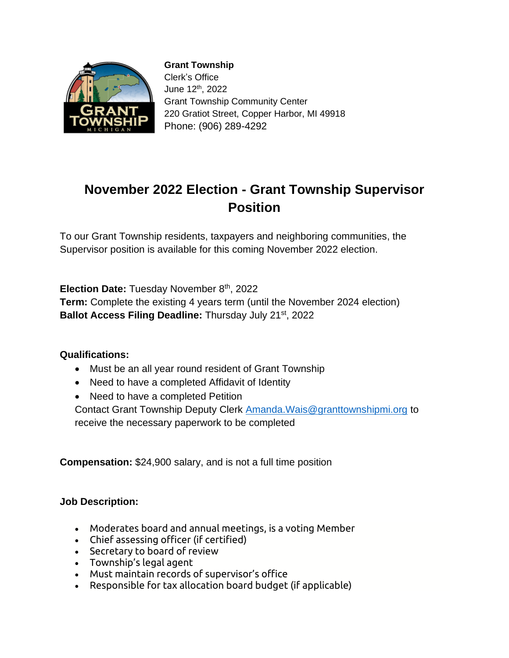

**Grant Township** Clerk's Office June 12th, 2022 Grant Township Community Center 220 Gratiot Street, Copper Harbor, MI 49918 Phone: (906) 289-4292

## **November 2022 Election - Grant Township Supervisor Position**

To our Grant Township residents, taxpayers and neighboring communities, the Supervisor position is available for this coming November 2022 election.

**Election Date:** Tuesday November 8<sup>th</sup>, 2022

**Term:** Complete the existing 4 years term (until the November 2024 election) **Ballot Access Filing Deadline:** Thursday July 21st, 2022

## **Qualifications:**

- Must be an all year round resident of Grant Township
- Need to have a completed Affidavit of Identity
- Need to have a completed Petition

Contact Grant Township Deputy Clerk [Amanda.Wais@granttownshipmi.org](mailto:Amanda.Wais@granttownshipmi.org) to receive the necessary paperwork to be completed

**Compensation:** \$24,900 salary, and is not a full time position

## **Job Description:**

- Moderates board and annual meetings, is a voting Member
- Chief assessing officer (if certified)
- Secretary to board of review
- Township's legal agent
- Must maintain records of supervisor's office
- Responsible for tax allocation board budget (if applicable)